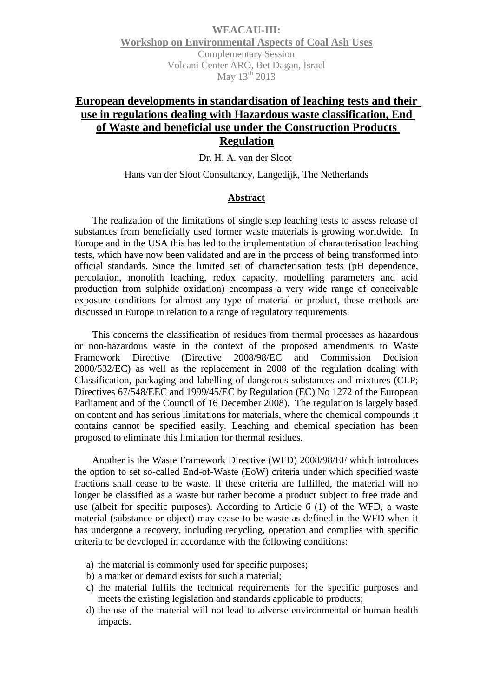**WEACAU-III: Workshop on Environmental Aspects of Coal Ash Uses** Complementary Session Volcani Center ARO, Bet Dagan, Israel May  $13^{th}$  2013

## **European developments in standardisation of leaching tests and their use in regulations dealing with Hazardous waste classification, End of Waste and beneficial use under the Construction Products Regulation**

Dr. H. A. van der Sloot

Hans van der Sloot Consultancy, Langedijk, The Netherlands

## **Abstract**

The realization of the limitations of single step leaching tests to assess release of substances from beneficially used former waste materials is growing worldwide. In Europe and in the USA this has led to the implementation of characterisation leaching tests, which have now been validated and are in the process of being transformed into official standards. Since the limited set of characterisation tests (pH dependence, percolation, monolith leaching, redox capacity, modelling parameters and acid production from sulphide oxidation) encompass a very wide range of conceivable exposure conditions for almost any type of material or product, these methods are discussed in Europe in relation to a range of regulatory requirements.

This concerns the classification of residues from thermal processes as hazardous or non-hazardous waste in the context of the proposed amendments to Waste Framework Directive (Directive 2008/98/EC and Commission Decision 2000/532/EC) as well as the replacement in 2008 of the regulation dealing with Classification, packaging and labelling of dangerous substances and mixtures (CLP; Directives 67/548/EEC and 1999/45/EC by Regulation (EC) No 1272 of the European Parliament and of the Council of 16 December 2008). The regulation is largely based on content and has serious limitations for materials, where the chemical compounds it contains cannot be specified easily. Leaching and chemical speciation has been proposed to eliminate this limitation for thermal residues.

Another is the Waste Framework Directive (WFD) 2008/98/EF which introduces the option to set so-called End-of-Waste (EoW) criteria under which specified waste fractions shall cease to be waste. If these criteria are fulfilled, the material will no longer be classified as a waste but rather become a product subject to free trade and use (albeit for specific purposes). According to Article 6 (1) of the WFD, a waste material (substance or object) may cease to be waste as defined in the WFD when it has undergone a recovery, including recycling, operation and complies with specific criteria to be developed in accordance with the following conditions:

- a) the material is commonly used for specific purposes;
- b) a market or demand exists for such a material;
- c) the material fulfils the technical requirements for the specific purposes and meets the existing legislation and standards applicable to products;
- d) the use of the material will not lead to adverse environmental or human health impacts.